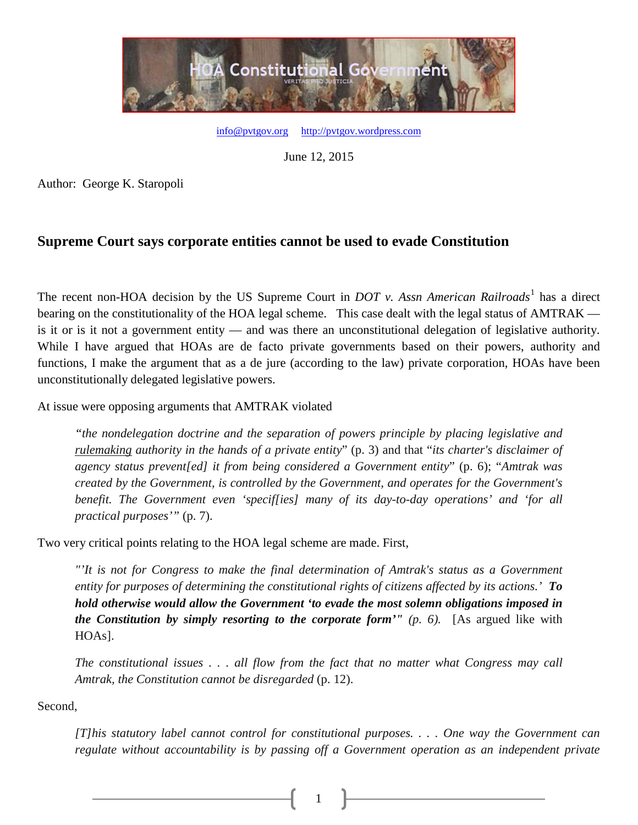

[info@pvtgov.org](mailto:info@pvtgov.org) [http://pvtgov.wordpress.com](http://pvtgov.wordpress.com/)

June 12, 2015

Author: George K. Staropoli

## **Supreme Court says corporate entities cannot be used to evade Constitution**

The recent non-HOA decision by the US Supreme Court in *DOT v. Assn American Railroads*<sup>[1](#page-2-0)</sup> has a direct bearing on the constitutionality of the HOA legal scheme. This case dealt with the legal status of AMTRAK is it or is it not a government entity — and was there an unconstitutional delegation of legislative authority. While I have argued that HOAs are de facto private governments based on their powers, authority and functions, I make the argument that as a de jure (according to the law) private corporation, HOAs have been unconstitutionally delegated legislative powers.

At issue were opposing arguments that AMTRAK violated

*"the nondelegation doctrine and the separation of powers principle by placing legislative and rulemaking authority in the hands of a private entity*" (p. 3) and that "*its charter's disclaimer of agency status prevent[ed] it from being considered a Government entity*" (p. 6); "*Amtrak was created by the Government, is controlled by the Government, and operates for the Government's benefit. The Government even 'specif[ies] many of its day-to-day operations' and 'for all practical purposes'"* (p. 7).

Two very critical points relating to the HOA legal scheme are made. First,

*"'It is not for Congress to make the final determination of Amtrak's status as a Government entity for purposes of determining the constitutional rights of citizens affected by its actions.' To hold otherwise would allow the Government 'to evade the most solemn obligations imposed in the Constitution by simply resorting to the corporate form'" (p. 6).* [As argued like with HOAs].

*The constitutional issues . . . all flow from the fact that no matter what Congress may call Amtrak, the Constitution cannot be disregarded* (p. 12).

1

Second,

*[T]his statutory label cannot control for constitutional purposes. . . . One way the Government can regulate without accountability is by passing off a Government operation as an independent private*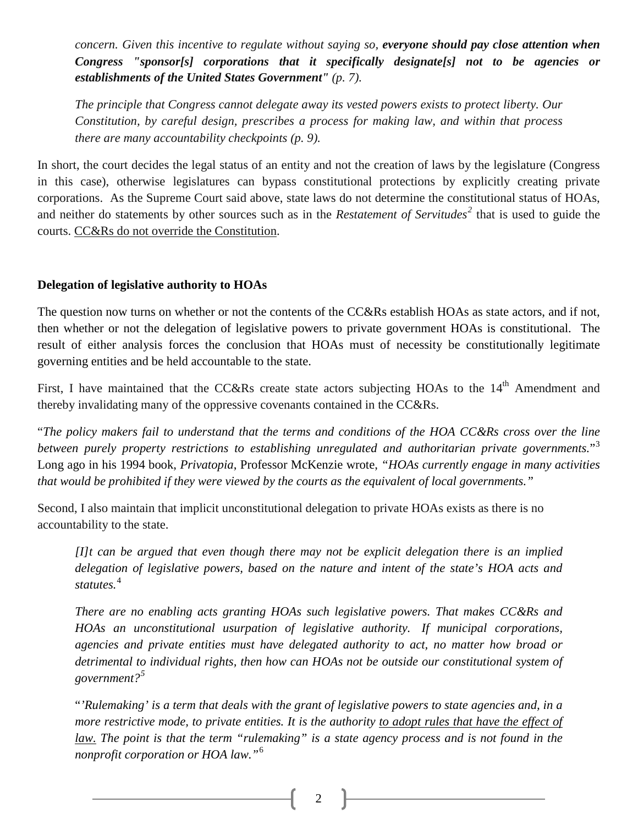*concern. Given this incentive to regulate without saying so, everyone should pay close attention when Congress "sponsor[s] corporations that it specifically designate[s] not to be agencies or establishments of the United States Government" (p. 7).*

*The principle that Congress cannot delegate away its vested powers exists to protect liberty. Our Constitution, by careful design, prescribes a process for making law, and within that process there are many accountability checkpoints (p. 9).*

In short, the court decides the legal status of an entity and not the creation of laws by the legislature (Congress in this case), otherwise legislatures can bypass constitutional protections by explicitly creating private corporations. As the Supreme Court said above, state laws do not determine the constitutional status of HOAs, and neither do statements by other sources such as in the *Restatement of Servitudes[2](#page-2-1)* that is used to guide the courts. CC&Rs do not override the Constitution.

## **Delegation of legislative authority to HOAs**

The question now turns on whether or not the contents of the CC&Rs establish HOAs as state actors, and if not, then whether or not the delegation of legislative powers to private government HOAs is constitutional. The result of either analysis forces the conclusion that HOAs must of necessity be constitutionally legitimate governing entities and be held accountable to the state.

First, I have maintained that the CC&Rs create state actors subjecting HOAs to the 14<sup>th</sup> Amendment and thereby invalidating many of the oppressive covenants contained in the CC&Rs.

"*The policy makers fail to understand that the terms and conditions of the HOA CC&Rs cross over the line between purely property restrictions to establishing unregulated and authoritarian private governments.*"[3](#page-2-2) Long ago in his 1994 book, *Privatopia*, Professor McKenzie wrote, *"HOAs currently engage in many activities that would be prohibited if they were viewed by the courts as the equivalent of local governments."*

Second, I also maintain that implicit unconstitutional delegation to private HOAs exists as there is no accountability to the state.

*[I]t can be argued that even though there may not be explicit delegation there is an implied delegation of legislative powers, based on the nature and intent of the state's HOA acts and statutes.*[4](#page-2-3)

*There are no enabling acts granting HOAs such legislative powers. That makes CC&Rs and HOAs an unconstitutional usurpation of legislative authority. If municipal corporations, agencies and private entities must have delegated authority to act, no matter how broad or detrimental to individual rights, then how can HOAs not be outside our constitutional system of government?[5](#page-2-4)*

"*'Rulemaking' is a term that deals with the grant of legislative powers to state agencies and, in a more restrictive mode, to private entities. It is the authority to adopt rules that have the effect of law. The point is that the term "rulemaking" is a state agency process and is not found in the nonprofit corporation or HOA law."*[6](#page-2-5)

2